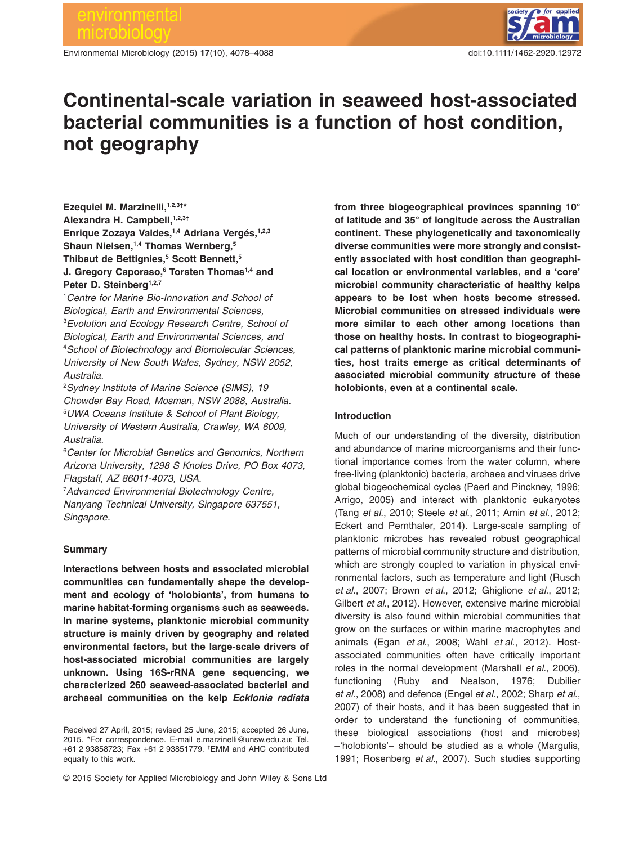Environmental Microbiology (2015) **17**(10), 4078–4088 doi:10.1111/1462-2920.12972



# **Continental-scale variation in seaweed host-associated bacterial communities is a function of host condition, not geography**

Ezequiel M. Marzinelli,<sup>1,2,3†\*</sup> **Alexandra H. Campbell,1,2,3†** Enrique Zozaya Valdes,<sup>1,4</sup> Adriana Vergés,<sup>1,2,3</sup> Shaun Nielsen,<sup>1,4</sup> Thomas Wernberg,<sup>5</sup> **Thibaut de Bettignies,5 Scott Bennett,5 J. Gregory Caporaso,6 Torsten Thomas1,4 and** Peter D. Steinberg<sup>1,2,7</sup>

1 *Centre for Marine Bio-Innovation and School of Biological, Earth and Environmental Sciences,* 3 *Evolution and Ecology Research Centre, School of Biological, Earth and Environmental Sciences, and* 4 *School of Biotechnology and Biomolecular Sciences, University of New South Wales, Sydney, NSW 2052, Australia.*

2 *Sydney Institute of Marine Science (SIMS), 19 Chowder Bay Road, Mosman, NSW 2088, Australia.* 5 *UWA Oceans Institute & School of Plant Biology, University of Western Australia, Crawley, WA 6009, Australia.*

6 *Center for Microbial Genetics and Genomics, Northern Arizona University, 1298 S Knoles Drive, PO Box 4073, Flagstaff, AZ 86011-4073, USA.*

7 *Advanced Environmental Biotechnology Centre, Nanyang Technical University, Singapore 637551, Singapore.*

## **Summary**

**Interactions between hosts and associated microbial communities can fundamentally shape the development and ecology of 'holobionts', from humans to marine habitat-forming organisms such as seaweeds. In marine systems, planktonic microbial community structure is mainly driven by geography and related environmental factors, but the large-scale drivers of host-associated microbial communities are largely unknown. Using 16S-rRNA gene sequencing, we characterized 260 seaweed-associated bacterial and archaeal communities on the kelp** *Ecklonia radiata* **from three biogeographical provinces spanning 10° of latitude and 35° of longitude across the Australian continent. These phylogenetically and taxonomically diverse communities were more strongly and consistently associated with host condition than geographical location or environmental variables, and a 'core' microbial community characteristic of healthy kelps appears to be lost when hosts become stressed. Microbial communities on stressed individuals were more similar to each other among locations than those on healthy hosts. In contrast to biogeographical patterns of planktonic marine microbial communities, host traits emerge as critical determinants of associated microbial community structure of these holobionts, even at a continental scale.**

# **Introduction**

Much of our understanding of the diversity, distribution and abundance of marine microorganisms and their functional importance comes from the water column, where free-living (planktonic) bacteria, archaea and viruses drive global biogeochemical cycles (Paerl and Pinckney, 1996; Arrigo, 2005) and interact with planktonic eukaryotes (Tang *et al*., 2010; Steele *et al*., 2011; Amin *et al*., 2012; Eckert and Pernthaler, 2014). Large-scale sampling of planktonic microbes has revealed robust geographical patterns of microbial community structure and distribution, which are strongly coupled to variation in physical environmental factors, such as temperature and light (Rusch *et al*., 2007; Brown *et al*., 2012; Ghiglione *et al*., 2012; Gilbert *et al*., 2012). However, extensive marine microbial diversity is also found within microbial communities that grow on the surfaces or within marine macrophytes and animals (Egan *et al*., 2008; Wahl *et al*., 2012). Hostassociated communities often have critically important roles in the normal development (Marshall *et al*., 2006), functioning (Ruby and Nealson, 1976; Dubilier *et al*., 2008) and defence (Engel *et al*., 2002; Sharp *et al*., 2007) of their hosts, and it has been suggested that in order to understand the functioning of communities, these biological associations (host and microbes) –'holobionts'– should be studied as a whole (Margulis, 1991; Rosenberg *et al*., 2007). Such studies supporting

Received 27 April, 2015; revised 25 June, 2015; accepted 26 June, 2015. \*For correspondence. E-mail [e.marzinelli@unsw.edu.au;](mailto:e.marzinelli@unsw.edu.au) Tel. +61 2 93858723; Fax +61 2 93851779. † EMM and AHC contributed equally to this work.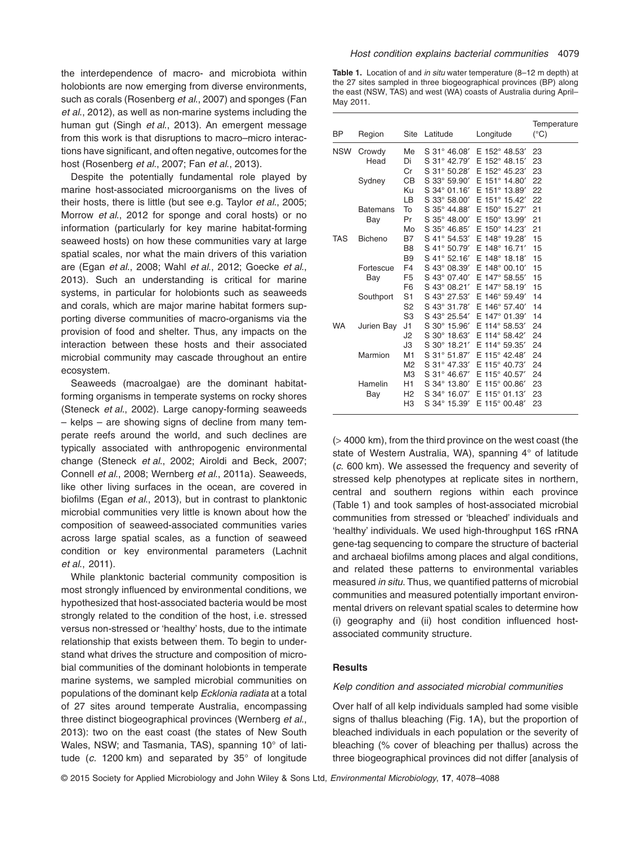the interdependence of macro- and microbiota within holobionts are now emerging from diverse environments, such as corals (Rosenberg *et al*., 2007) and sponges (Fan *et al*., 2012), as well as non-marine systems including the human gut (Singh *et al*., 2013). An emergent message from this work is that disruptions to macro–micro interactions have significant, and often negative, outcomes for the host (Rosenberg *et al*., 2007; Fan *et al*., 2013).

Despite the potentially fundamental role played by marine host-associated microorganisms on the lives of their hosts, there is little (but see e.g. Taylor *et al*., 2005; Morrow *et al*., 2012 for sponge and coral hosts) or no information (particularly for key marine habitat-forming seaweed hosts) on how these communities vary at large spatial scales, nor what the main drivers of this variation are (Egan *et al*., 2008; Wahl *et al*., 2012; Goecke *et al*., 2013). Such an understanding is critical for marine systems, in particular for holobionts such as seaweeds and corals, which are major marine habitat formers supporting diverse communities of macro-organisms via the provision of food and shelter. Thus, any impacts on the interaction between these hosts and their associated microbial community may cascade throughout an entire ecosystem.

Seaweeds (macroalgae) are the dominant habitatforming organisms in temperate systems on rocky shores (Steneck *et al*., 2002). Large canopy-forming seaweeds – kelps – are showing signs of decline from many temperate reefs around the world, and such declines are typically associated with anthropogenic environmental change (Steneck *et al*., 2002; Airoldi and Beck, 2007; Connell *et al*., 2008; Wernberg *et al*., 2011a). Seaweeds, like other living surfaces in the ocean, are covered in biofilms (Egan *et al*., 2013), but in contrast to planktonic microbial communities very little is known about how the composition of seaweed-associated communities varies across large spatial scales, as a function of seaweed condition or key environmental parameters (Lachnit *et al*., 2011).

While planktonic bacterial community composition is most strongly influenced by environmental conditions, we hypothesized that host-associated bacteria would be most strongly related to the condition of the host, i.e. stressed versus non-stressed or 'healthy' hosts, due to the intimate relationship that exists between them. To begin to understand what drives the structure and composition of microbial communities of the dominant holobionts in temperate marine systems, we sampled microbial communities on populations of the dominant kelp *Ecklonia radiata* at a total of 27 sites around temperate Australia, encompassing three distinct biogeographical provinces (Wernberg *et al*., 2013): two on the east coast (the states of New South Wales, NSW; and Tasmania, TAS), spanning 10° of latitude (*c.* 1200 km) and separated by 35° of longitude **Table 1.** Location of and *in situ* water temperature (8–12 m depth) at the 27 sites sampled in three biogeographical provinces (BP) along the east (NSW, TAS) and west (WA) coasts of Australia during April– May 2011.

| BP         | Region          | Site           | Latitude                 | Longitude                 | Temperature<br>$(^{\circ}C)$ |
|------------|-----------------|----------------|--------------------------|---------------------------|------------------------------|
| <b>NSW</b> | Crowdy          | Me             | S 31° 46.08'             | E 152° 48.53'             | 23                           |
|            | Head            | Di             | S 31° 42.79'             | E 152° 48.15'             | 23                           |
|            |                 | Cr             | S 31° 50.28'             | E 152° 45.23'             | 23                           |
|            | Sydney          | <b>CB</b>      | S 33° 59.90'             | E 151° 14.80'             | 22                           |
|            |                 | Ku             | S 34° 01.16'             | E 151° 13.89'             | 22                           |
|            |                 | LB             | S 33° 58.00'             | E 151° 15.42'             | 22                           |
|            | <b>Batemans</b> | To             | S 35° 44.88'             | E 150° 15.27'             | 21                           |
|            | Bay             | Pr             | S 35° 48.00'             | E 150° 13.99'             | 21                           |
|            |                 | Mo             | S 35° 46.85'             | E 150° 14.23'             | 21                           |
| TAS        | <b>Bicheno</b>  | <b>B7</b>      | S 41° 54.53'             | E 148° 19.28'             | 15                           |
|            |                 | B <sub>8</sub> | S 41° 50.79'             | E 148° 16.71'             | 15                           |
|            |                 | <b>B9</b>      | S 41° 52.16'             | E 148° 18.18'             | 15                           |
|            | Fortescue       | F <sub>4</sub> | S 43° 08.39'             | $E$ 148 $^{\circ}$ 00.10' | 15                           |
|            | Bay             | F <sub>5</sub> | S 43° 07.40'             | E 147° 58.55'             | 15                           |
|            |                 | F <sub>6</sub> | S 43° 08.21'             | E 147° 58.19'             | 15                           |
|            | Southport       | S <sub>1</sub> | S 43° 27.53′             | E 146° 59.49'             | 14                           |
|            |                 | S <sub>2</sub> | S 43° 31.78'             | E 146° 57.40'             | 14                           |
|            |                 | S <sub>3</sub> | S 43° 25.54'             | E 147° 01.39'             | 14                           |
| <b>WA</b>  | Jurien Bay      | J1             | S 30° 15.96'             | E 114° 58.53'             | 24                           |
|            |                 | J <sub>2</sub> | $S$ 30 $^{\circ}$ 18.63' | E 114° 58.42'             | 24                           |
|            |                 | J3             | S 30° 18.21'             | E 114° 59.35'             | 24                           |
|            | Marmion         | M <sub>1</sub> | S 31° 51.87'             | E 115° 42.48'             | 24                           |
|            |                 | M <sub>2</sub> | S 31° 47.33'             | E 115° 40.73'             | 24                           |
|            |                 | M <sub>3</sub> | S 31° 46.67'             | E 115° 40.57'             | 24                           |
|            | Hamelin         | H1             | S 34° 13.80'             | E 115° 00.86'             | 23                           |
|            | Bay             | H <sub>2</sub> | S 34° 16.07'             | E 115° 01.13'             | 23                           |
|            |                 | H <sub>3</sub> | S 34° 15.39'             | E 115° 00.48'             | 23                           |

(> 4000 km), from the third province on the west coast (the state of Western Australia, WA), spanning 4° of latitude (*c.* 600 km). We assessed the frequency and severity of stressed kelp phenotypes at replicate sites in northern, central and southern regions within each province (Table 1) and took samples of host-associated microbial communities from stressed or 'bleached' individuals and 'healthy' individuals. We used high-throughput 16S rRNA gene-tag sequencing to compare the structure of bacterial and archaeal biofilms among places and algal conditions, and related these patterns to environmental variables measured *in situ*. Thus, we quantified patterns of microbial communities and measured potentially important environmental drivers on relevant spatial scales to determine how (i) geography and (ii) host condition influenced hostassociated community structure.

# **Results**

# *Kelp condition and associated microbial communities*

Over half of all kelp individuals sampled had some visible signs of thallus bleaching (Fig. 1A), but the proportion of bleached individuals in each population or the severity of bleaching (% cover of bleaching per thallus) across the three biogeographical provinces did not differ [analysis of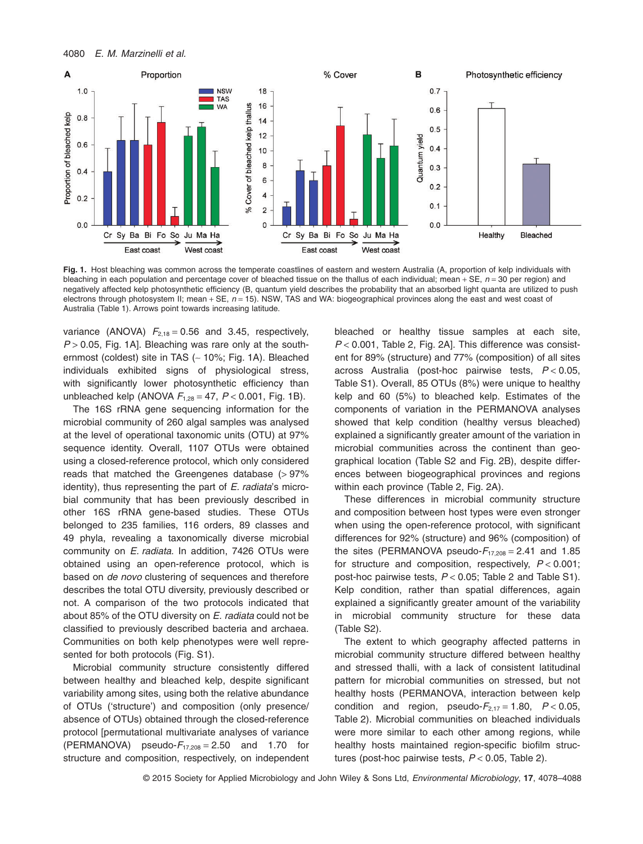

Fig. 1. Host bleaching was common across the temperate coastlines of eastern and western Australia (A, proportion of kelp individuals with bleaching in each population and percentage cover of bleached tissue on the thallus of each individual; mean + SE,  $n = 30$  per region) and negatively affected kelp photosynthetic efficiency (B, quantum yield describes the probability that an absorbed light quanta are utilized to push electrons through photosystem II; mean + SE, *n* = 15). NSW, TAS and WA: biogeographical provinces along the east and west coast of Australia (Table 1). Arrows point towards increasing latitude.

variance (ANOVA)  $F_{2,18} = 0.56$  and 3.45, respectively, *P* > 0.05, Fig. 1A]. Bleaching was rare only at the southernmost (coldest) site in TAS (∼ 10%; Fig. 1A). Bleached individuals exhibited signs of physiological stress, with significantly lower photosynthetic efficiency than unbleached kelp (ANOVA  $F_{1,28} = 47$ ,  $P < 0.001$ , Fig. 1B).

The 16S rRNA gene sequencing information for the microbial community of 260 algal samples was analysed at the level of operational taxonomic units (OTU) at 97% sequence identity. Overall, 1107 OTUs were obtained using a closed-reference protocol, which only considered reads that matched the Greengenes database (> 97% identity), thus representing the part of *E. radiata*'s microbial community that has been previously described in other 16S rRNA gene-based studies. These OTUs belonged to 235 families, 116 orders, 89 classes and 49 phyla, revealing a taxonomically diverse microbial community on *E. radiata*. In addition, 7426 OTUs were obtained using an open-reference protocol, which is based on *de novo* clustering of sequences and therefore describes the total OTU diversity, previously described or not. A comparison of the two protocols indicated that about 85% of the OTU diversity on *E. radiata* could not be classified to previously described bacteria and archaea. Communities on both kelp phenotypes were well represented for both protocols (Fig. S1).

Microbial community structure consistently differed between healthy and bleached kelp, despite significant variability among sites, using both the relative abundance of OTUs ('structure') and composition (only presence/ absence of OTUs) obtained through the closed-reference protocol [permutational multivariate analyses of variance (PERMANOVA) pseudo- $F_{17,208} = 2.50$  and 1.70 for structure and composition, respectively, on independent bleached or healthy tissue samples at each site, *P* < 0.001, Table 2, Fig. 2A]. This difference was consistent for 89% (structure) and 77% (composition) of all sites across Australia (post-hoc pairwise tests, *P* < 0.05, Table S1). Overall, 85 OTUs (8%) were unique to healthy kelp and 60 (5%) to bleached kelp. Estimates of the components of variation in the PERMANOVA analyses showed that kelp condition (healthy versus bleached) explained a significantly greater amount of the variation in microbial communities across the continent than geographical location (Table S2 and Fig. 2B), despite differences between biogeographical provinces and regions within each province (Table 2, Fig. 2A).

These differences in microbial community structure and composition between host types were even stronger when using the open-reference protocol, with significant differences for 92% (structure) and 96% (composition) of the sites (PERMANOVA pseudo- $F_{17,208} = 2.41$  and 1.85 for structure and composition, respectively, *P* < 0.001; post-hoc pairwise tests, *P* < 0.05; Table 2 and Table S1). Kelp condition, rather than spatial differences, again explained a significantly greater amount of the variability in microbial community structure for these data (Table S2).

The extent to which geography affected patterns in microbial community structure differed between healthy and stressed thalli, with a lack of consistent latitudinal pattern for microbial communities on stressed, but not healthy hosts (PERMANOVA, interaction between kelp condition and region, pseudo- $F_{2,17} = 1.80$ ,  $P < 0.05$ , Table 2). Microbial communities on bleached individuals were more similar to each other among regions, while healthy hosts maintained region-specific biofilm structures (post-hoc pairwise tests, *P* < 0.05, Table 2).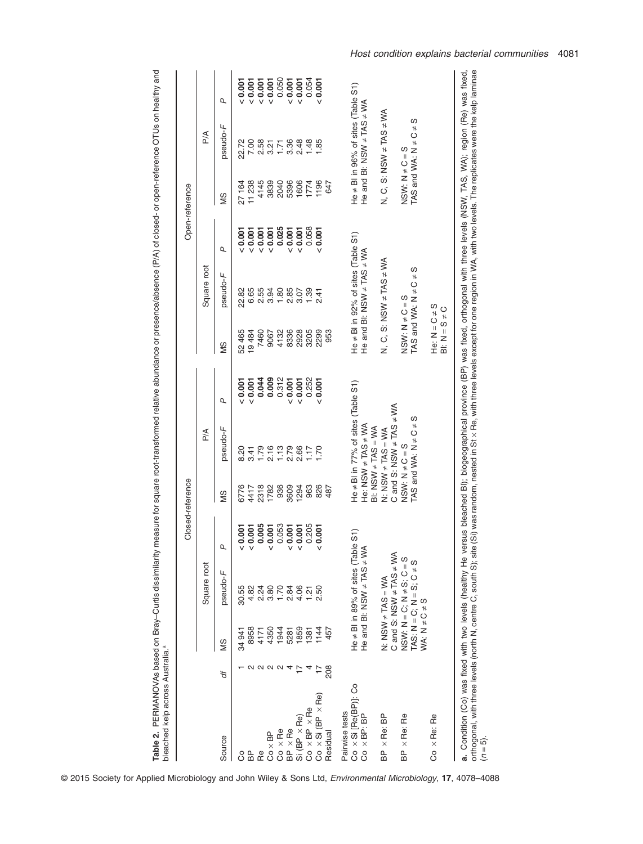| d<br>$\overline{ }$<br>Ś<br>ś<br>$\overline{a}$<br>$\frac{1}{2}$<br>an-reference OTUs on healt<br>i<br>Ö |  |
|----------------------------------------------------------------------------------------------------------|--|
|                                                                                                          |  |
| ne or presence/absence (P/A) of closed- or onen-in-                                                      |  |
| $\frac{2}{2}$<br>5<br>lyo dhu                                                                            |  |
| are mort-transforman haiditing an inno<br>j<br>j<br>S<br>;<br>)<br>)                                     |  |
| j<br>ミくこく<br>)<br>)<br>maasi ira :<br>j<br>IN ITIeasul<br>ł<br>֠                                         |  |
| i<br>l<br>ļ                                                                                              |  |
|                                                                                                          |  |
|                                                                                                          |  |

|                               |         |                       |                                                                  |       | Closed-reference    |                                                         |       |                                      |                                         |       | Open-reference      |                                   |       |
|-------------------------------|---------|-----------------------|------------------------------------------------------------------|-------|---------------------|---------------------------------------------------------|-------|--------------------------------------|-----------------------------------------|-------|---------------------|-----------------------------------|-------|
|                               |         |                       | Square root                                                      |       |                     | $\frac{1}{2}$                                           |       |                                      | Square root                             |       |                     | A∕a                               |       |
| Source                        | ð       | SM                    | pseudo-F                                                         | Q     | SM                  | pseudo-F                                                | Q     | SM                                   | pseudo-F                                | σ     | SM                  | pseudo-F                          | σ     |
| ပိ                            |         | 34 941                | 30.55                                                            | 0.001 | 6776                | 8.20                                                    | 0.007 | 52465                                | 22.82                                   | 0.001 | 27164               | 22.72                             | 0.007 |
| BP                            |         | 8958                  | 4.82                                                             | 0.001 | 4417                |                                                         | 0.001 | 19484                                |                                         | 10001 | 11 238              | 7.00                              | 0.001 |
| Re                            | 2 2 2 2 | 4171                  | 2.24                                                             | 0.005 | 2318                | $3.798720$<br>$-2.79820$                                | 0.044 | 7460                                 | 6.65<br>2.55                            | 0.001 | 4145                | 2.58                              | 0.001 |
| $Co \times BP$                |         | 4350                  | 3.80                                                             | 0.001 | 1782                |                                                         | 0.009 | 9067                                 | 3.94                                    | 0.001 | 3839                |                                   | 0.001 |
| $Co \times Re$                |         | 1944                  | 1.70                                                             | 0.053 | 936                 |                                                         | 0.312 | 4132                                 | 1.80                                    | 0.025 | 2040                | 3.21                              | 0.050 |
| BP × Re                       | 4       | 5281                  | 2.84                                                             | 0.001 | 3609                |                                                         | 0.001 | 8336                                 | 2.85                                    | 0.001 | 5396                | 3.36                              | 0.001 |
| $Si(BP \times Re)$            |         | 1859                  | 4.06                                                             | 0.001 | 1294                | 2.66                                                    | 0.001 | 2928                                 | 3.07                                    | 0.001 | 1606                | 2.48                              | 0.001 |
| $Co \times BP \times Re$      |         | 1381                  | 1.21                                                             | 0.205 | 963                 | 1.17                                                    | 0.252 | 3205                                 | 1.39                                    | 0.058 | 1774                | 1.48                              | 0.054 |
| $Co \times Si (BP \times Re)$ | H       | 1144                  | 2.50                                                             | 0.001 | 826                 | 1.70                                                    | 0.007 | 2299                                 | 2.41                                    | 0.001 | 1196                | 1.85                              | 0.007 |
| Residual                      | 208     | 457                   |                                                                  |       | 487                 |                                                         |       | 953                                  |                                         |       | 647                 |                                   |       |
| Pairwise tests                |         |                       |                                                                  |       |                     |                                                         |       |                                      |                                         |       |                     |                                   |       |
| Co x Si [Re(BP)]: Co          |         |                       |                                                                  | S1)   |                     | He $\neq$ BI in 77% of sites (Table S1)                 |       |                                      | He $\neq$ BI in 92% of sites (Table S1) |       | $He \neq B$         | in 96% of sites (Table S1)        |       |
| $Co \times BP$ : BP           |         |                       | He≠Bl in 89% of sites (Table<br>He and Bl: NSW ≠TAS ≠WA          |       |                     | He: NSW $\neq$ TAS $\neq$ WA<br>BI: NSW $\neq$ TAS = WA |       |                                      | He and BI: NSW $\neq$ TAS $\neq$ WA     |       | He and              | BI: NSW $\neq$ TAS $\neq$ WA      |       |
| $BP \times$ Re: $BP$          |         |                       | N: NSW $\neq$ TAS = WA                                           |       |                     | N: NSW $\neq$ TAS = WA                                  |       |                                      | N, C, S: NSN $\neq$ DAS $\neq$ DAS      |       |                     | N, C, S: NSW $\neq$ TAS $\neq$ WA |       |
|                               |         |                       | C and S: NSW $\neq$ TAS $\neq$ WA                                |       |                     | C and S: NSW $\neq$ TAS $\neq$ WA                       |       |                                      |                                         |       |                     |                                   |       |
| $BP \times$ Re: Re            |         |                       | $N = 0$ ; $N = 1$<br>$N = 2$ ; $N = 1$<br>$TAS: N = S; G \neq S$ |       | NSW: $N \neq C = S$ | ပ<br>TAS and WA: $N \neq C \neq$                        |       | $NSW: N \neq C = S$                  | TAS and WA: $N \neq C \neq S$           |       | $NSW: N \neq C = S$ | ပ<br>TAS and WA: $N \neq C \neq$  |       |
|                               |         | WA: $N \neq C \neq S$ |                                                                  |       |                     |                                                         |       |                                      |                                         |       |                     |                                   |       |
| $Co \times Rec$ : Re          |         |                       |                                                                  |       |                     |                                                         |       | He: $N = C \neq S$<br>S<br>$Bi: N =$ | $Q \neq$                                |       |                     |                                   |       |

*Host condition explains bacterial communities* 4081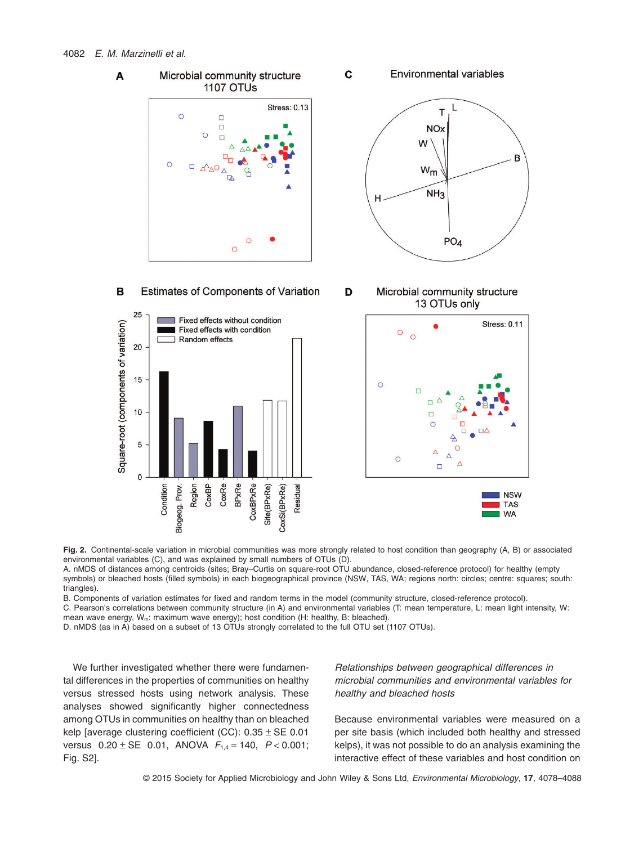# 4082 *E. M. Marzinelli et al.*



Fia. 2. Continental-scale variation in microbial communities was more strongly related to host condition than geography (A, B) or associated environmental variables (C), and was explained by small numbers of OTUs (D).

A. nMDS of distances among centroids (sites; Bray–Curtis on square-root OTU abundance, closed-reference protocol) for healthy (empty symbols) or bleached hosts (filled symbols) in each biogeographical province (NSW, TAS, WA; regions north: circles; centre: squares; south: triangles).

B. Components of variation estimates for fixed and random terms in the model (community structure, closed-reference protocol).

C. Pearson's correlations between community structure (in A) and environmental variables (T: mean temperature, L: mean light intensity, W: mean wave energy, W<sub>m</sub>: maximum wave energy); host condition (H: healthy, B: bleached).

D. nMDS (as in A) based on a subset of 13 OTUs strongly correlated to the full OTU set (1107 OTUs).

We further investigated whether there were fundamental differences in the properties of communities on healthy versus stressed hosts using network analysis. These analyses showed significantly higher connectedness among OTUs in communities on healthy than on bleached kelp [average clustering coefficient (CC):  $0.35 \pm$  SE 0.01 versus 0.20 ± SE 0.01, ANOVA *F*1,4 = 140, *P* < 0.001; Fig. S2].

*Relationships between geographical differences in microbial communities and environmental variables for healthy and bleached hosts*

Because environmental variables were measured on a per site basis (which included both healthy and stressed kelps), it was not possible to do an analysis examining the interactive effect of these variables and host condition on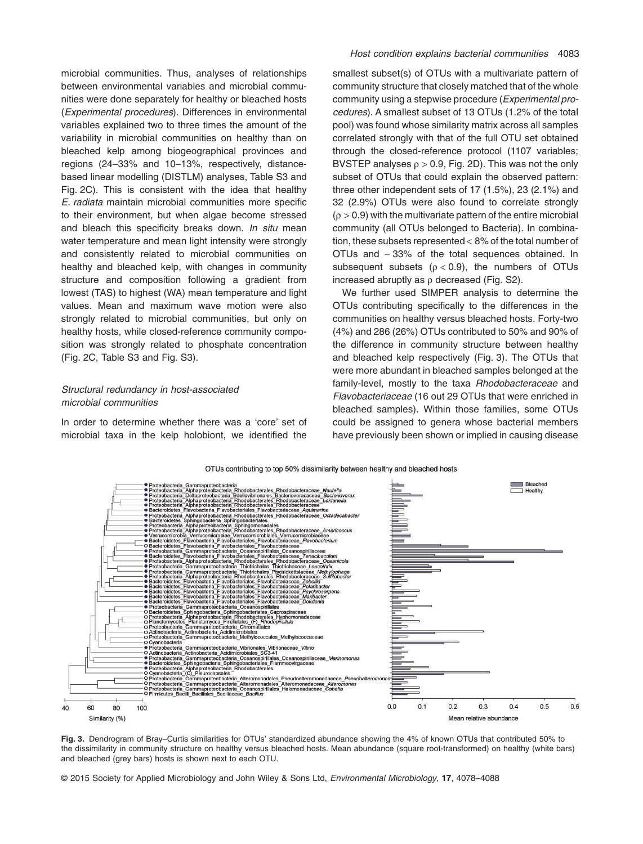microbial communities. Thus, analyses of relationships between environmental variables and microbial communities were done separately for healthy or bleached hosts (*Experimental procedures*). Differences in environmental variables explained two to three times the amount of the variability in microbial communities on healthy than on bleached kelp among biogeographical provinces and regions (24–33% and 10–13%, respectively, distancebased linear modelling (DISTLM) analyses, Table S3 and Fig. 2C). This is consistent with the idea that healthy *E. radiata* maintain microbial communities more specific to their environment, but when algae become stressed and bleach this specificity breaks down. *In situ* mean water temperature and mean light intensity were strongly and consistently related to microbial communities on healthy and bleached kelp, with changes in community structure and composition following a gradient from lowest (TAS) to highest (WA) mean temperature and light values. Mean and maximum wave motion were also strongly related to microbial communities, but only on healthy hosts, while closed-reference community composition was strongly related to phosphate concentration (Fig. 2C, Table S3 and Fig. S3).

# *Structural redundancy in host-associated microbial communities*

In order to determine whether there was a 'core' set of microbial taxa in the kelp holobiont, we identified the smallest subset(s) of OTUs with a multivariate pattern of community structure that closely matched that of the whole community using a stepwise procedure (*Experimental procedures*). A smallest subset of 13 OTUs (1.2% of the total pool) was found whose similarity matrix across all samples correlated strongly with that of the full OTU set obtained through the closed-reference protocol (1107 variables; BVSTEP analyses  $p > 0.9$ , Fig. 2D). This was not the only subset of OTUs that could explain the observed pattern: three other independent sets of 17 (1.5%), 23 (2.1%) and 32 (2.9%) OTUs were also found to correlate strongly  $(p > 0.9)$  with the multivariate pattern of the entire microbial community (all OTUs belonged to Bacteria). In combination, these subsets represented < 8% of the total number of OTUs and ∼ 33% of the total sequences obtained. In subsequent subsets ( $\rho$  < 0.9), the numbers of OTUs increased abruptly as  $\rho$  decreased (Fig. S2).

We further used SIMPER analysis to determine the OTUs contributing specifically to the differences in the communities on healthy versus bleached hosts. Forty-two (4%) and 286 (26%) OTUs contributed to 50% and 90% of the difference in community structure between healthy and bleached kelp respectively (Fig. 3). The OTUs that were more abundant in bleached samples belonged at the family-level, mostly to the taxa *Rhodobacteraceae* and *Flavobacteriaceae* (16 out 29 OTUs that were enriched in bleached samples). Within those families, some OTUs could be assigned to genera whose bacterial members have previously been shown or implied in causing disease



**Fig. 3.** Dendrogram of Bray–Curtis similarities for OTUs' standardized abundance showing the 4% of known OTUs that contributed 50% to the dissimilarity in community structure on healthy versus bleached hosts. Mean abundance (square root-transformed) on healthy (white bars) and bleached (grey bars) hosts is shown next to each OTU.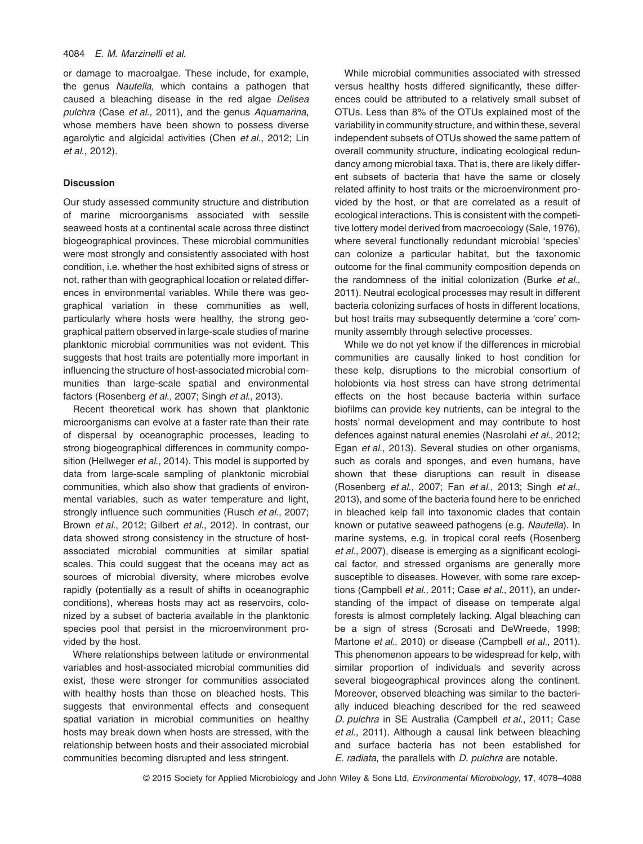or damage to macroalgae. These include, for example, the genus *Nautella*, which contains a pathogen that caused a bleaching disease in the red algae *Delisea pulchra* (Case *et al*., 2011), and the genus *Aquamarina*, whose members have been shown to possess diverse agarolytic and algicidal activities (Chen *et al*., 2012; Lin *et al*., 2012).

# **Discussion**

Our study assessed community structure and distribution of marine microorganisms associated with sessile seaweed hosts at a continental scale across three distinct biogeographical provinces. These microbial communities were most strongly and consistently associated with host condition, i.e. whether the host exhibited signs of stress or not, rather than with geographical location or related differences in environmental variables. While there was geographical variation in these communities as well, particularly where hosts were healthy, the strong geographical pattern observed in large-scale studies of marine planktonic microbial communities was not evident. This suggests that host traits are potentially more important in influencing the structure of host-associated microbial communities than large-scale spatial and environmental factors (Rosenberg *et al*., 2007; Singh *et al*., 2013).

Recent theoretical work has shown that planktonic microorganisms can evolve at a faster rate than their rate of dispersal by oceanographic processes, leading to strong biogeographical differences in community composition (Hellweger *et al*., 2014). This model is supported by data from large-scale sampling of planktonic microbial communities, which also show that gradients of environmental variables, such as water temperature and light, strongly influence such communities (Rusch *et al*., 2007; Brown *et al*., 2012; Gilbert *et al*., 2012). In contrast, our data showed strong consistency in the structure of hostassociated microbial communities at similar spatial scales. This could suggest that the oceans may act as sources of microbial diversity, where microbes evolve rapidly (potentially as a result of shifts in oceanographic conditions), whereas hosts may act as reservoirs, colonized by a subset of bacteria available in the planktonic species pool that persist in the microenvironment provided by the host.

Where relationships between latitude or environmental variables and host-associated microbial communities did exist, these were stronger for communities associated with healthy hosts than those on bleached hosts. This suggests that environmental effects and consequent spatial variation in microbial communities on healthy hosts may break down when hosts are stressed, with the relationship between hosts and their associated microbial communities becoming disrupted and less stringent.

While microbial communities associated with stressed versus healthy hosts differed significantly, these differences could be attributed to a relatively small subset of OTUs. Less than 8% of the OTUs explained most of the variability in community structure, and within these, several independent subsets of OTUs showed the same pattern of overall community structure, indicating ecological redundancy among microbial taxa. That is, there are likely different subsets of bacteria that have the same or closely related affinity to host traits or the microenvironment provided by the host, or that are correlated as a result of ecological interactions. This is consistent with the competitive lottery model derived from macroecology (Sale, 1976), where several functionally redundant microbial 'species' can colonize a particular habitat, but the taxonomic outcome for the final community composition depends on the randomness of the initial colonization (Burke *et al*., 2011). Neutral ecological processes may result in different bacteria colonizing surfaces of hosts in different locations, but host traits may subsequently determine a 'core' community assembly through selective processes.

While we do not yet know if the differences in microbial communities are causally linked to host condition for these kelp, disruptions to the microbial consortium of holobionts via host stress can have strong detrimental effects on the host because bacteria within surface biofilms can provide key nutrients, can be integral to the hosts' normal development and may contribute to host defences against natural enemies (Nasrolahi *et al*., 2012; Egan *et al*., 2013). Several studies on other organisms, such as corals and sponges, and even humans, have shown that these disruptions can result in disease (Rosenberg *et al*., 2007; Fan *et al*., 2013; Singh *et al*., 2013), and some of the bacteria found here to be enriched in bleached kelp fall into taxonomic clades that contain known or putative seaweed pathogens (e.g. *Nautella*). In marine systems, e.g. in tropical coral reefs (Rosenberg *et al*., 2007), disease is emerging as a significant ecological factor, and stressed organisms are generally more susceptible to diseases. However, with some rare exceptions (Campbell *et al*., 2011; Case *et al*., 2011), an understanding of the impact of disease on temperate algal forests is almost completely lacking. Algal bleaching can be a sign of stress (Scrosati and DeWreede, 1998; Martone *et al*., 2010) or disease (Campbell *et al*., 2011). This phenomenon appears to be widespread for kelp, with similar proportion of individuals and severity across several biogeographical provinces along the continent. Moreover, observed bleaching was similar to the bacterially induced bleaching described for the red seaweed *D. pulchra* in SE Australia (Campbell *et al*., 2011; Case *et al*., 2011). Although a causal link between bleaching and surface bacteria has not been established for *E. radiata*, the parallels with *D. pulchra* are notable.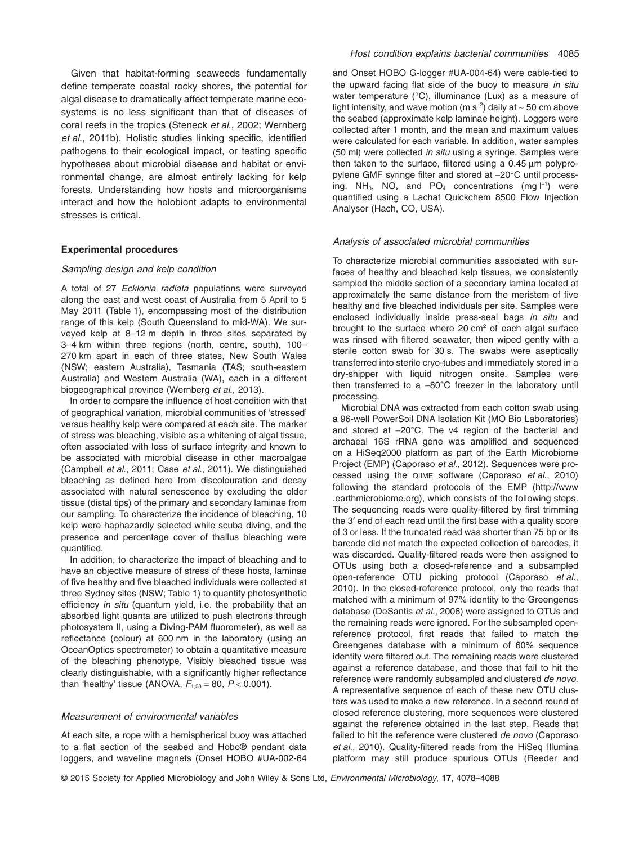Given that habitat-forming seaweeds fundamentally define temperate coastal rocky shores, the potential for algal disease to dramatically affect temperate marine ecosystems is no less significant than that of diseases of coral reefs in the tropics (Steneck *et al*., 2002; Wernberg *et al*., 2011b). Holistic studies linking specific, identified pathogens to their ecological impact, or testing specific hypotheses about microbial disease and habitat or environmental change, are almost entirely lacking for kelp forests. Understanding how hosts and microorganisms interact and how the holobiont adapts to environmental stresses is critical.

#### **Experimental procedures**

## *Sampling design and kelp condition*

A total of 27 *Ecklonia radiata* populations were surveyed along the east and west coast of Australia from 5 April to 5 May 2011 (Table 1), encompassing most of the distribution range of this kelp (South Queensland to mid-WA). We surveyed kelp at 8–12 m depth in three sites separated by 3–4 km within three regions (north, centre, south), 100– 270 km apart in each of three states, New South Wales (NSW; eastern Australia), Tasmania (TAS; south-eastern Australia) and Western Australia (WA), each in a different biogeographical province (Wernberg *et al*., 2013).

In order to compare the influence of host condition with that of geographical variation, microbial communities of 'stressed' versus healthy kelp were compared at each site. The marker of stress was bleaching, visible as a whitening of algal tissue, often associated with loss of surface integrity and known to be associated with microbial disease in other macroalgae (Campbell *et al*., 2011; Case *et al*., 2011). We distinguished bleaching as defined here from discolouration and decay associated with natural senescence by excluding the older tissue (distal tips) of the primary and secondary laminae from our sampling. To characterize the incidence of bleaching, 10 kelp were haphazardly selected while scuba diving, and the presence and percentage cover of thallus bleaching were quantified.

In addition, to characterize the impact of bleaching and to have an objective measure of stress of these hosts, laminae of five healthy and five bleached individuals were collected at three Sydney sites (NSW; Table 1) to quantify photosynthetic efficiency *in situ* (quantum yield, i.e. the probability that an absorbed light quanta are utilized to push electrons through photosystem II, using a Diving-PAM fluorometer), as well as reflectance (colour) at 600 nm in the laboratory (using an OceanOptics spectrometer) to obtain a quantitative measure of the bleaching phenotype. Visibly bleached tissue was clearly distinguishable, with a significantly higher reflectance than 'healthy' tissue (ANOVA,  $F_{1,28} = 80$ ,  $P < 0.001$ ).

# *Measurement of environmental variables*

At each site, a rope with a hemispherical buoy was attached to a flat section of the seabed and Hobo® pendant data loggers, and waveline magnets (Onset HOBO #UA-002-64 and Onset HOBO G-logger #UA-004-64) were cable-tied to the upward facing flat side of the buoy to measure *in situ* water temperature (°C), illuminance (Lux) as a measure of light intensity, and wave motion (m s<sup>−</sup><sup>2</sup> ) daily at ∼ 50 cm above the seabed (approximate kelp laminae height). Loggers were collected after 1 month, and the mean and maximum values were calculated for each variable. In addition, water samples (50 ml) were collected *in situ* using a syringe. Samples were then taken to the surface, filtered using a 0.45 μm polypropylene GMF syringe filter and stored at −20°C until processing. NH<sub>3</sub>, NO<sub>x</sub> and PO<sub>4</sub> concentrations (mg  $\vert^{-1}$ ) were quantified using a Lachat Quickchem 8500 Flow Injection Analyser (Hach, CO, USA).

#### *Analysis of associated microbial communities*

To characterize microbial communities associated with surfaces of healthy and bleached kelp tissues, we consistently sampled the middle section of a secondary lamina located at approximately the same distance from the meristem of five healthy and five bleached individuals per site. Samples were enclosed individually inside press-seal bags *in situ* and brought to the surface where  $20 \text{ cm}^2$  of each algal surface was rinsed with filtered seawater, then wiped gently with a sterile cotton swab for 30 s. The swabs were aseptically transferred into sterile cryo-tubes and immediately stored in a dry-shipper with liquid nitrogen onsite. Samples were then transferred to a −80**°**C freezer in the laboratory until processing.

Microbial DNA was extracted from each cotton swab using a 96-well PowerSoil DNA Isolation Kit (MO Bio Laboratories) and stored at −20**°**C. The v4 region of the bacterial and archaeal 16S rRNA gene was amplified and sequenced on a HiSeq2000 platform as part of the Earth Microbiome Project (EMP) (Caporaso *et al*., 2012). Sequences were processed using the QIIME software (Caporaso *et al*., 2010) following the standard protocols of the EMP [\(http://www](http://www.earthmicrobiome.org) [.earthmicrobiome.org\)](http://www.earthmicrobiome.org), which consists of the following steps. The sequencing reads were quality-filtered by first trimming the 3′ end of each read until the first base with a quality score of 3 or less. If the truncated read was shorter than 75 bp or its barcode did not match the expected collection of barcodes, it was discarded. Quality-filtered reads were then assigned to OTUs using both a closed-reference and a subsampled open-reference OTU picking protocol (Caporaso *et al*., 2010). In the closed-reference protocol, only the reads that matched with a minimum of 97% identity to the Greengenes database (DeSantis *et al*., 2006) were assigned to OTUs and the remaining reads were ignored. For the subsampled openreference protocol, first reads that failed to match the Greengenes database with a minimum of 60% sequence identity were filtered out. The remaining reads were clustered against a reference database, and those that fail to hit the reference were randomly subsampled and clustered *de novo*. A representative sequence of each of these new OTU clusters was used to make a new reference. In a second round of closed reference clustering, more sequences were clustered against the reference obtained in the last step. Reads that failed to hit the reference were clustered *de novo* (Caporaso *et al*., 2010). Quality-filtered reads from the HiSeq Illumina platform may still produce spurious OTUs (Reeder and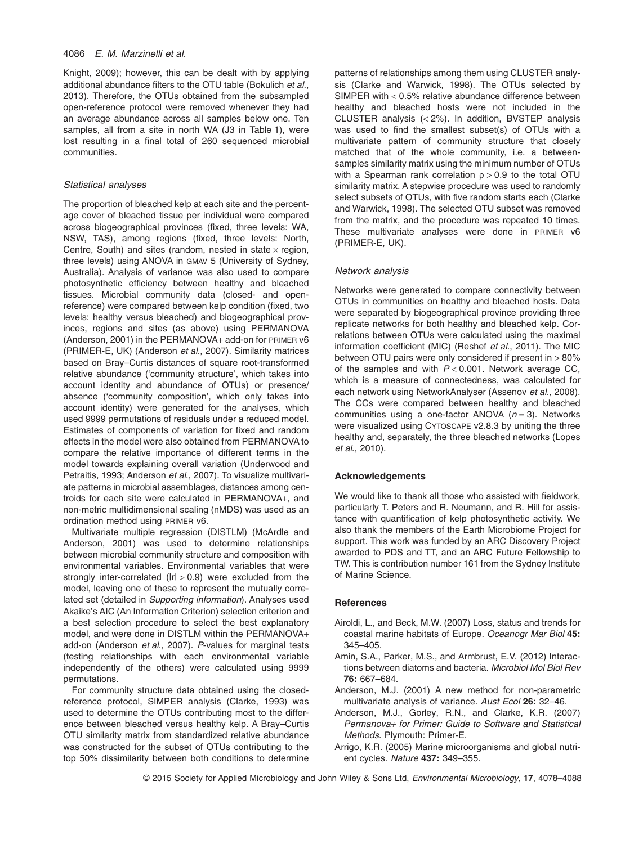Knight, 2009); however, this can be dealt with by applying additional abundance filters to the OTU table (Bokulich *et al*., 2013). Therefore, the OTUs obtained from the subsampled open-reference protocol were removed whenever they had an average abundance across all samples below one. Ten samples, all from a site in north WA (J3 in Table 1), were lost resulting in a final total of 260 sequenced microbial communities.

#### *Statistical analyses*

The proportion of bleached kelp at each site and the percentage cover of bleached tissue per individual were compared across biogeographical provinces (fixed, three levels: WA, NSW, TAS), among regions (fixed, three levels: North, Centre, South) and sites (random, nested in state  $\times$  region, three levels) using ANOVA in GMAV 5 (University of Sydney, Australia). Analysis of variance was also used to compare photosynthetic efficiency between healthy and bleached tissues. Microbial community data (closed- and openreference) were compared between kelp condition (fixed, two levels: healthy versus bleached) and biogeographical provinces, regions and sites (as above) using PERMANOVA (Anderson, 2001) in the PERMANOVA+ add-on for PRIMER v6 (PRIMER-E, UK) (Anderson *et al*., 2007). Similarity matrices based on Bray–Curtis distances of square root-transformed relative abundance ('community structure', which takes into account identity and abundance of OTUs) or presence/ absence ('community composition', which only takes into account identity) were generated for the analyses, which used 9999 permutations of residuals under a reduced model. Estimates of components of variation for fixed and random effects in the model were also obtained from PERMANOVA to compare the relative importance of different terms in the model towards explaining overall variation (Underwood and Petraitis, 1993; Anderson *et al*., 2007). To visualize multivariate patterns in microbial assemblages, distances among centroids for each site were calculated in PERMANOVA+, and non-metric multidimensional scaling (nMDS) was used as an ordination method using PRIMER v6.

Multivariate multiple regression (DISTLM) (McArdle and Anderson, 2001) was used to determine relationships between microbial community structure and composition with environmental variables. Environmental variables that were strongly inter-correlated ( $|r| > 0.9$ ) were excluded from the model, leaving one of these to represent the mutually correlated set (detailed in *Supporting information*). Analyses used Akaike's AIC (An Information Criterion) selection criterion and a best selection procedure to select the best explanatory model, and were done in DISTLM within the PERMANOVA+ add-on (Anderson *et al*., 2007). *P*-values for marginal tests (testing relationships with each environmental variable independently of the others) were calculated using 9999 permutations.

For community structure data obtained using the closedreference protocol, SIMPER analysis (Clarke, 1993) was used to determine the OTUs contributing most to the difference between bleached versus healthy kelp. A Bray–Curtis OTU similarity matrix from standardized relative abundance was constructed for the subset of OTUs contributing to the top 50% dissimilarity between both conditions to determine

patterns of relationships among them using CLUSTER analysis (Clarke and Warwick, 1998). The OTUs selected by SIMPER with < 0.5% relative abundance difference between healthy and bleached hosts were not included in the CLUSTER analysis (< 2%). In addition, BVSTEP analysis was used to find the smallest subset(s) of OTUs with a multivariate pattern of community structure that closely matched that of the whole community, i.e. a betweensamples similarity matrix using the minimum number of OTUs with a Spearman rank correlation  $\rho > 0.9$  to the total OTU similarity matrix. A stepwise procedure was used to randomly select subsets of OTUs, with five random starts each (Clarke) and Warwick, 1998). The selected OTU subset was removed from the matrix, and the procedure was repeated 10 times. These multivariate analyses were done in PRIMER v6 (PRIMER-E, UK).

# *Network analysis*

Networks were generated to compare connectivity between OTUs in communities on healthy and bleached hosts. Data were separated by biogeographical province providing three replicate networks for both healthy and bleached kelp. Correlations between OTUs were calculated using the maximal information coefficient (MIC) (Reshef *et al*., 2011). The MIC between OTU pairs were only considered if present in > 80% of the samples and with *P* < 0.001. Network average CC, which is a measure of connectedness, was calculated for each network using NetworkAnalyser (Assenov *et al*., 2008). The CCs were compared between healthy and bleached communities using a one-factor ANOVA (*n* = 3). Networks were visualized using CYTOSCAPE v2.8.3 by uniting the three healthy and, separately, the three bleached networks (Lopes *et al*., 2010).

# **Acknowledgements**

We would like to thank all those who assisted with fieldwork. particularly T. Peters and R. Neumann, and R. Hill for assistance with quantification of kelp photosynthetic activity. We also thank the members of the Earth Microbiome Project for support. This work was funded by an ARC Discovery Project awarded to PDS and TT, and an ARC Future Fellowship to TW. This is contribution number 161 from the Sydney Institute of Marine Science.

## **References**

- Airoldi, L., and Beck, M.W. (2007) Loss, status and trends for coastal marine habitats of Europe. *Oceanogr Mar Biol* **45:** 345–405.
- Amin, S.A., Parker, M.S., and Armbrust, E.V. (2012) Interactions between diatoms and bacteria. *Microbiol Mol Biol Rev* **76:** 667–684.
- Anderson, M.J. (2001) A new method for non-parametric multivariate analysis of variance. *Aust Ecol* **26:** 32–46.
- Anderson, M.J., Gorley, R.N., and Clarke, K.R. (2007) *Permanova+ for Primer: Guide to Software and Statistical Methods*. Plymouth: Primer-E.
- Arrigo, K.R. (2005) Marine microorganisms and global nutrient cycles. *Nature* **437:** 349–355.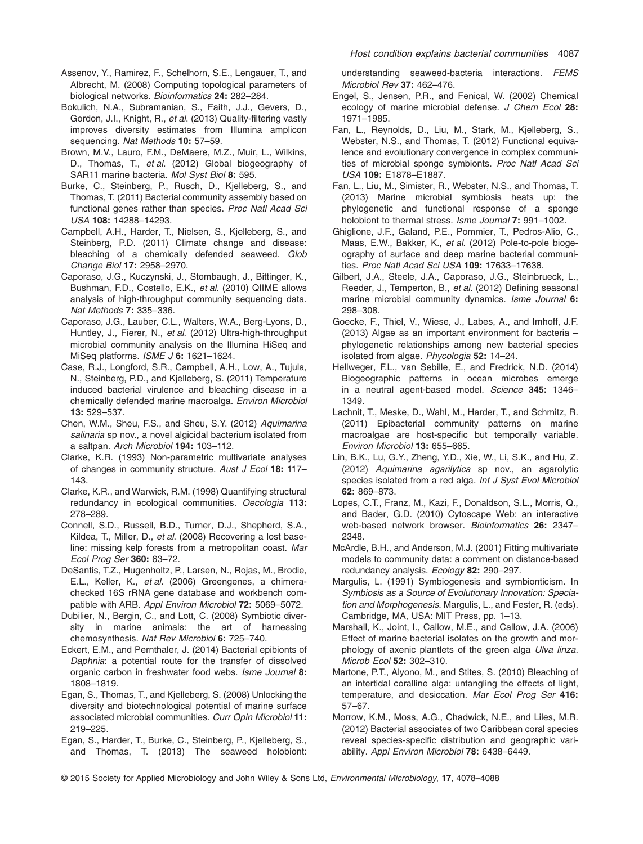- Assenov, Y., Ramirez, F., Schelhorn, S.E., Lengauer, T., and Albrecht, M. (2008) Computing topological parameters of biological networks. *Bioinformatics* **24:** 282–284.
- Bokulich, N.A., Subramanian, S., Faith, J.J., Gevers, D., Gordon, J.I., Knight, R., *et al*. (2013) Quality-filtering vastly improves diversity estimates from Illumina amplicon sequencing. *Nat Methods* **10:** 57–59.
- Brown, M.V., Lauro, F.M., DeMaere, M.Z., Muir, L., Wilkins, D., Thomas, T., *et al*. (2012) Global biogeography of SAR11 marine bacteria. *Mol Syst Biol* **8:** 595.
- Burke, C., Steinberg, P., Rusch, D., Kjelleberg, S., and Thomas, T. (2011) Bacterial community assembly based on functional genes rather than species. *Proc Natl Acad Sci USA* **108:** 14288–14293.
- Campbell, A.H., Harder, T., Nielsen, S., Kjelleberg, S., and Steinberg, P.D. (2011) Climate change and disease: bleaching of a chemically defended seaweed. *Glob Change Biol* **17:** 2958–2970.
- Caporaso, J.G., Kuczynski, J., Stombaugh, J., Bittinger, K., Bushman, F.D., Costello, E.K., *et al*. (2010) QIIME allows analysis of high-throughput community sequencing data. *Nat Methods* **7:** 335–336.
- Caporaso, J.G., Lauber, C.L., Walters, W.A., Berg-Lyons, D., Huntley, J., Fierer, N., *et al*. (2012) Ultra-high-throughput microbial community analysis on the Illumina HiSeq and MiSeq platforms. *ISME J* **6:** 1621–1624.
- Case, R.J., Longford, S.R., Campbell, A.H., Low, A., Tujula, N., Steinberg, P.D., and Kjelleberg, S. (2011) Temperature induced bacterial virulence and bleaching disease in a chemically defended marine macroalga. *Environ Microbiol* **13:** 529–537.
- Chen, W.M., Sheu, F.S., and Sheu, S.Y. (2012) *Aquimarina salinaria* sp nov., a novel algicidal bacterium isolated from a saltpan. *Arch Microbiol* **194:** 103–112.
- Clarke, K.R. (1993) Non-parametric multivariate analyses of changes in community structure. *Aust J Ecol* **18:** 117– 143.
- Clarke, K.R., and Warwick, R.M. (1998) Quantifying structural redundancy in ecological communities. *Oecologia* **113:** 278–289.
- Connell, S.D., Russell, B.D., Turner, D.J., Shepherd, S.A., Kildea, T., Miller, D., *et al*. (2008) Recovering a lost baseline: missing kelp forests from a metropolitan coast. *Mar Ecol Prog Ser* **360:** 63–72.
- DeSantis, T.Z., Hugenholtz, P., Larsen, N., Rojas, M., Brodie, E.L., Keller, K., *et al*. (2006) Greengenes, a chimerachecked 16S rRNA gene database and workbench compatible with ARB. *Appl Environ Microbiol* **72:** 5069–5072.
- Dubilier, N., Bergin, C., and Lott, C. (2008) Symbiotic diversity in marine animals: the art of harnessing chemosynthesis. *Nat Rev Microbiol* **6:** 725–740.
- Eckert, E.M., and Pernthaler, J. (2014) Bacterial epibionts of *Daphnia*: a potential route for the transfer of dissolved organic carbon in freshwater food webs. *Isme Journal* **8:** 1808–1819.
- Egan, S., Thomas, T., and Kjelleberg, S. (2008) Unlocking the diversity and biotechnological potential of marine surface associated microbial communities. *Curr Opin Microbiol* **11:** 219–225.
- Egan, S., Harder, T., Burke, C., Steinberg, P., Kjelleberg, S., and Thomas, T. (2013) The seaweed holobiont:

understanding seaweed-bacteria interactions. *FEMS Microbiol Rev* **37:** 462–476.

- Engel, S., Jensen, P.R., and Fenical, W. (2002) Chemical ecology of marine microbial defense. *J Chem Ecol* **28:** 1971–1985.
- Fan, L., Reynolds, D., Liu, M., Stark, M., Kjelleberg, S., Webster, N.S., and Thomas, T. (2012) Functional equivalence and evolutionary convergence in complex communities of microbial sponge symbionts. *Proc Natl Acad Sci USA* **109:** E1878–E1887.
- Fan, L., Liu, M., Simister, R., Webster, N.S., and Thomas, T. (2013) Marine microbial symbiosis heats up: the phylogenetic and functional response of a sponge holobiont to thermal stress. *Isme Journal* **7:** 991–1002.
- Ghiglione, J.F., Galand, P.E., Pommier, T., Pedros-Alio, C., Maas, E.W., Bakker, K., *et al*. (2012) Pole-to-pole biogeography of surface and deep marine bacterial communities. *Proc Natl Acad Sci USA* **109:** 17633–17638.
- Gilbert, J.A., Steele, J.A., Caporaso, J.G., Steinbrueck, L., Reeder, J., Temperton, B., *et al*. (2012) Defining seasonal marine microbial community dynamics. *Isme Journal* **6:** 298–308.
- Goecke, F., Thiel, V., Wiese, J., Labes, A., and Imhoff, J.F. (2013) Algae as an important environment for bacteria – phylogenetic relationships among new bacterial species isolated from algae. *Phycologia* **52:** 14–24.
- Hellweger, F.L., van Sebille, E., and Fredrick, N.D. (2014) Biogeographic patterns in ocean microbes emerge in a neutral agent-based model. *Science* **345:** 1346– 1349.
- Lachnit, T., Meske, D., Wahl, M., Harder, T., and Schmitz, R. (2011) Epibacterial community patterns on marine macroalgae are host-specific but temporally variable. *Environ Microbiol* **13:** 655–665.
- Lin, B.K., Lu, G.Y., Zheng, Y.D., Xie, W., Li, S.K., and Hu, Z. (2012) *Aquimarina agarilytica* sp nov., an agarolytic species isolated from a red alga. *Int J Syst Evol Microbiol* **62:** 869–873.
- Lopes, C.T., Franz, M., Kazi, F., Donaldson, S.L., Morris, Q., and Bader, G.D. (2010) Cytoscape Web: an interactive web-based network browser. *Bioinformatics* **26:** 2347– 2348.
- McArdle, B.H., and Anderson, M.J. (2001) Fitting multivariate models to community data: a comment on distance-based redundancy analysis. *Ecology* **82:** 290–297.
- Margulis, L. (1991) Symbiogenesis and symbionticism. In *Symbiosis as a Source of Evolutionary Innovation: Speciation and Morphogenesis*. Margulis, L., and Fester, R. (eds). Cambridge, MA, USA: MIT Press, pp. 1–13.
- Marshall, K., Joint, I., Callow, M.E., and Callow, J.A. (2006) Effect of marine bacterial isolates on the growth and morphology of axenic plantlets of the green alga *Ulva linza*. *Microb Ecol* **52:** 302–310.
- Martone, P.T., Alyono, M., and Stites, S. (2010) Bleaching of an intertidal coralline alga: untangling the effects of light, temperature, and desiccation. *Mar Ecol Prog Ser* **416:** 57–67.
- Morrow, K.M., Moss, A.G., Chadwick, N.E., and Liles, M.R. (2012) Bacterial associates of two Caribbean coral species reveal species-specific distribution and geographic variability. *Appl Environ Microbiol* **78:** 6438–6449.
- © 2015 Society for Applied Microbiology and John Wiley & Sons Ltd, *Environmental Microbiology*, **17**, 4078–4088